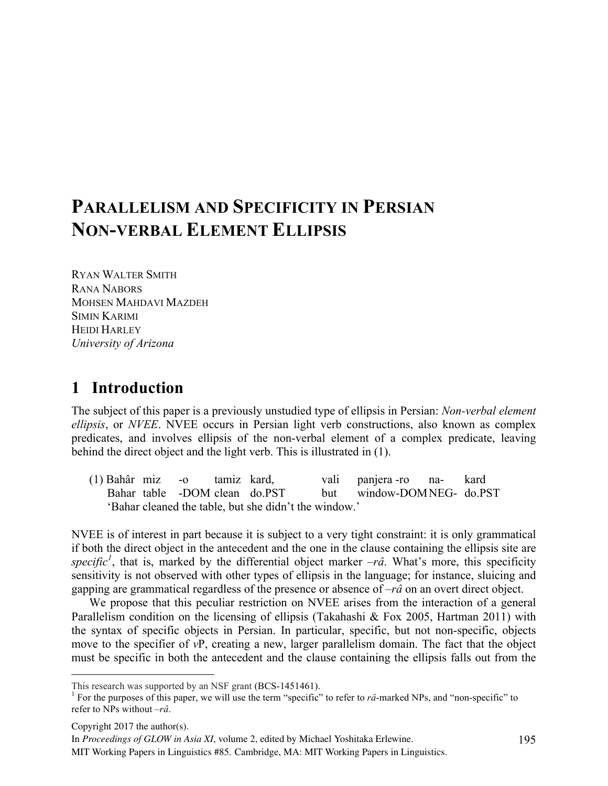# **PARALLELISM AND SPECIFICITY IN PERSIAN NON-VERBAL ELEMENT ELLIPSIS**

RYAN WALTER SMITH RANA NABORS MOHSEN MAHDAVI MAZDEH SIMIN KARIMI HEIDI HARLEY *University of Arizona*

## **1** Introduction

The subject of this paper is a previously unstudied type of ellipsis in Persian: *Non-verbal element ellipsis*, or *NVEE*. NVEE occurs in Persian light verb constructions, also known as complex predicates, and involves ellipsis of the non-verbal element of a complex predicate, leaving behind the direct object and the light verb. This is illustrated in (1).

(1) Bahâr miz -o tamiz kard, vali panjera -ro na- kard Bahar table -DOM clean do.PST but window-DOMNEG- do.PST 'Bahar cleaned the table, but she didn't the window.'

NVEE is of interest in part because it is subject to a very tight constraint: it is only grammatical if both the direct object in the antecedent and the one in the clause containing the ellipsis site are specific<sup>1</sup>, that is, marked by the differential object marker  $-r\hat{a}$ . What's more, this specificity sensitivity is not observed with other types of ellipsis in the language; for instance, sluicing and gapping are grammatical regardless of the presence or absence of *–râ* on an overt direct object.

We propose that this peculiar restriction on NVEE arises from the interaction of a general Parallelism condition on the licensing of ellipsis (Takahashi & Fox 2005, Hartman 2011) with the syntax of specific objects in Persian. In particular, specific, but not non-specific, objects move to the specifier of *v*P, creating a new, larger parallelism domain. The fact that the object must be specific in both the antecedent and the clause containing the ellipsis falls out from the

MIT Working Papers in Linguistics #85. Cambridge, MA: MIT Working Papers in Linguistics.

This research was supported by an NSF grant (BCS-1451461).<br><sup>1</sup> For the purposes of this paper, we will use the term "specific" to refer to  $r\hat{a}$ -marked NPs, and "non-specific" to refer to NPs without *–râ*.

Copyright 2017 the author(s).

In *Proceedings of GLOW in Asia XI*, volume 2, edited by Michael Yoshitaka Erlewine.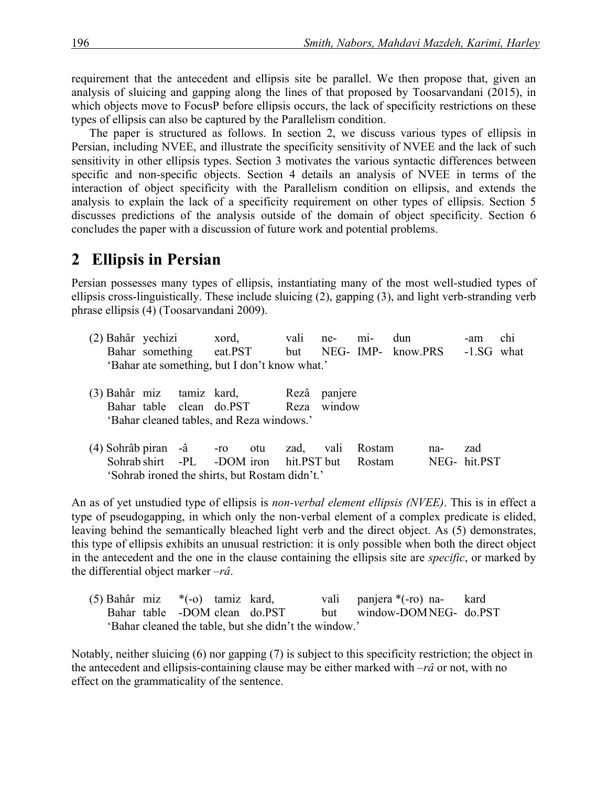requirement that the antecedent and ellipsis site be parallel. We then propose that, given an analysis of sluicing and gapping along the lines of that proposed by Toosarvandani (2015), in which objects move to FocusP before ellipsis occurs, the lack of specificity restrictions on these types of ellipsis can also be captured by the Parallelism condition.

The paper is structured as follows. In section 2, we discuss various types of ellipsis in Persian, including NVEE, and illustrate the specificity sensitivity of NVEE and the lack of such sensitivity in other ellipsis types. Section 3 motivates the various syntactic differences between specific and non-specific objects. Section 4 details an analysis of NVEE in terms of the interaction of object specificity with the Parallelism condition on ellipsis, and extends the analysis to explain the lack of a specificity requirement on other types of ellipsis. Section 5 discusses predictions of the analysis outside of the domain of object specificity. Section 6 concludes the paper with a discussion of future work and potential problems.

## 2 Ellipsis in Persian

Persian possesses many types of ellipsis, instantiating many of the most well-studied types of ellipsis cross-linguistically. These include sluicing (2), gapping (3), and light verb-stranding verb phrase ellipsis (4) (Toosarvandani 2009).

- (2) Bahâr yechizi xord, vali ne- mi- dun -am chi Bahar something eat.PST but NEG- IMP- know.PRS -1.SG what 'Bahar ate something, but I don't know what.'
- (3) Bahâr miz tamiz kard, Rezâ panjere Bahar table clean do.PST Reza window 'Bahar cleaned tables, and Reza windows.'
- (4) Sohrâb piran -â -ro otu zad, vali Rostam na- zad Sohrab shirt -PL -DOM iron hit.PST but Rostam NEG- hit.PST 'Sohrab ironed the shirts, but Rostam didn't.'

An as of yet unstudied type of ellipsis is *non-verbal element ellipsis (NVEE)*. This is in effect a type of pseudogapping, in which only the non-verbal element of a complex predicate is elided, leaving behind the semantically bleached light verb and the direct object. As (5) demonstrates, this type of ellipsis exhibits an unusual restriction: it is only possible when both the direct object in the antecedent and the one in the clause containing the ellipsis site are *specific*, or marked by the differential object marker *–râ*.

(5) Bahâr miz \*(-o) tamiz kard, vali panjera \*(-ro) na- kard Bahar table -DOM clean do.PST but window-DOMNEG- do.PST 'Bahar cleaned the table, but she didn't the window.'

Notably, neither sluicing (6) nor gapping (7) is subject to this specificity restriction; the object in the antecedent and ellipsis-containing clause may be either marked with *–râ* or not, with no effect on the grammaticality of the sentence.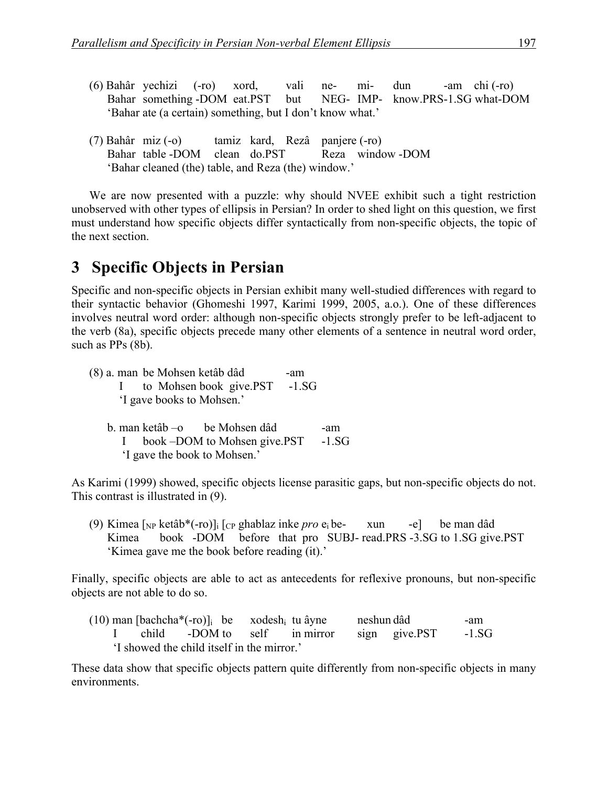- (6) Bahâr yechizi (-ro) xord, vali ne- mi- dun -am chi (-ro) Bahar something -DOM eat.PST but NEG- IMP- know.PRS-1.SG what-DOM 'Bahar ate (a certain) something, but I don't know what.'
- (7) Bahâr miz (-o) tamiz kard, Rezâ panjere (-ro) Bahar table -DOM clean do.PST Reza window -DOM 'Bahar cleaned (the) table, and Reza (the) window.'

We are now presented with a puzzle: why should NVEE exhibit such a tight restriction unobserved with other types of ellipsis in Persian? In order to shed light on this question, we first must understand how specific objects differ syntactically from non-specific objects, the topic of the next section.

## **3** Specific Objects in Persian

Specific and non-specific objects in Persian exhibit many well-studied differences with regard to their syntactic behavior (Ghomeshi 1997, Karimi 1999, 2005, a.o.). One of these differences involves neutral word order: although non-specific objects strongly prefer to be left-adjacent to the verb (8a), specific objects precede many other elements of a sentence in neutral word order, such as PPs (8b).

- (8) a. man be Mohsen ketâb dâd -am I to Mohsen book give.PST -1.SG 'I gave books to Mohsen.' b. man ketâb –o be Mohsen dâd -am
	- I book –DOM to Mohsen give.PST -1.SG 'I gave the book to Mohsen.'

As Karimi (1999) showed, specific objects license parasitic gaps, but non-specific objects do not. This contrast is illustrated in (9).

(9) Kimea  $\lceil_{NP}$  ketâb<sup>\*</sup>(-ro)]<sub>i</sub>  $\lceil_{CP}$  ghablaz inke *pro*  $e_i$  be- xun -e] be man dâd Kimea book -DOM before that pro SUBJ- read.PRS -3.SG to 1.SG give.PST 'Kimea gave me the book before reading (it).'

Finally, specific objects are able to act as antecedents for reflexive pronouns, but non-specific objects are not able to do so.

|                                           | $(10)$ man [bachcha*(-ro)], be xodesh, tu âyne |  |  |  |                                | neshun dâd |               | -am     |
|-------------------------------------------|------------------------------------------------|--|--|--|--------------------------------|------------|---------------|---------|
|                                           |                                                |  |  |  | I child -DOM to self in mirror |            | sign give.PST | $-1.SG$ |
| I showed the child itself in the mirror.' |                                                |  |  |  |                                |            |               |         |

These data show that specific objects pattern quite differently from non-specific objects in many environments.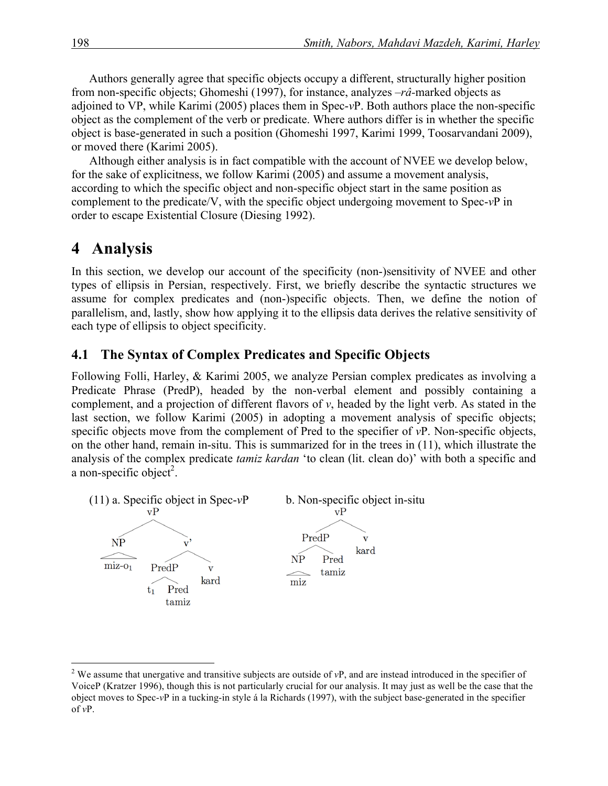Authors generally agree that specific objects occupy a different, structurally higher position from non-specific objects; Ghomeshi (1997), for instance, analyzes *–râ-*marked objects as adjoined to VP, while Karimi (2005) places them in Spec-*v*P. Both authors place the non-specific object as the complement of the verb or predicate. Where authors differ is in whether the specific object is base-generated in such a position (Ghomeshi 1997, Karimi 1999, Toosarvandani 2009), or moved there (Karimi 2005).

Although either analysis is in fact compatible with the account of NVEE we develop below, for the sake of explicitness, we follow Karimi (2005) and assume a movement analysis, according to which the specific object and non-specific object start in the same position as complement to the predicate/V, with the specific object undergoing movement to Spec-*v*P in order to escape Existential Closure (Diesing 1992).

## 4 Analysis

In this section, we develop our account of the specificity (non-)sensitivity of NVEE and other types of ellipsis in Persian, respectively. First, we briefly describe the syntactic structures we assume for complex predicates and (non-)specific objects. Then, we define the notion of parallelism, and, lastly, show how applying it to the ellipsis data derives the relative sensitivity of each type of ellipsis to object specificity.

#### **4.1 The Syntax of Complex Predicates and Specific Objects**

Following Folli, Harley, & Karimi 2005, we analyze Persian complex predicates as involving a Predicate Phrase (PredP), headed by the non-verbal element and possibly containing a complement, and a projection of different flavors of *v*, headed by the light verb. As stated in the last section, we follow Karimi (2005) in adopting a movement analysis of specific objects; specific objects move from the complement of Pred to the specifier of *v*P. Non-specific objects, on the other hand, remain in-situ. This is summarized for in the trees in (11), which illustrate the analysis of the complex predicate *tamiz kardan* 'to clean (lit. clean do)' with both a specific and a non-specific object<sup>2</sup>.



 <sup>2</sup> We assume that unergative and transitive subjects are outside of *v*P, and are instead introduced in the specifier of VoiceP (Kratzer 1996), though this is not particularly crucial for our analysis. It may just as well be the case that the object moves to Spec-*v*P in a tucking-in style á la Richards (1997), with the subject base-generated in the specifier of *v*P.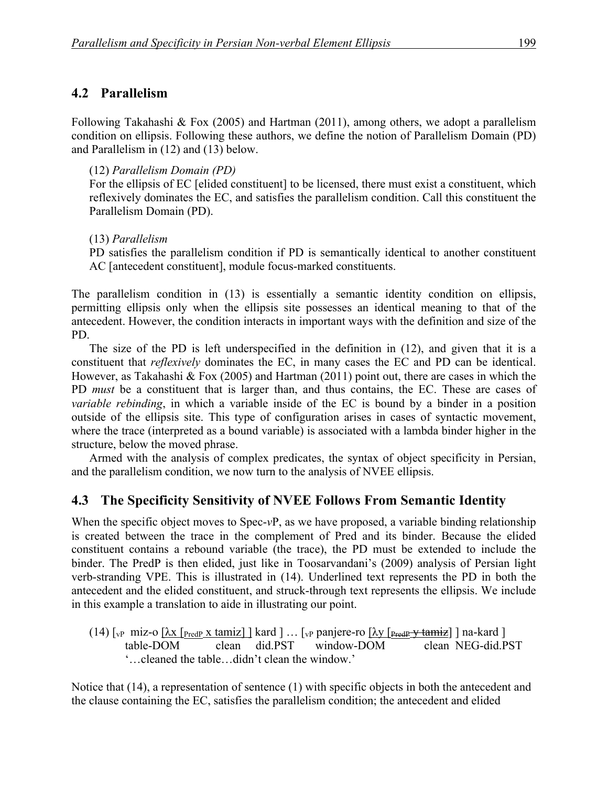#### **4.2xxParallelism**

Following Takahashi & Fox (2005) and Hartman (2011), among others, we adopt a parallelism condition on ellipsis. Following these authors, we define the notion of Parallelism Domain (PD) and Parallelism in (12) and (13) below.

(12) *Parallelism Domain (PD)*

For the ellipsis of EC [elided constituent] to be licensed, there must exist a constituent, which reflexively dominates the EC, and satisfies the parallelism condition. Call this constituent the Parallelism Domain (PD).

(13) *Parallelism*

PD satisfies the parallelism condition if PD is semantically identical to another constituent AC [antecedent constituent], module focus-marked constituents.

The parallelism condition in (13) is essentially a semantic identity condition on ellipsis, permitting ellipsis only when the ellipsis site possesses an identical meaning to that of the antecedent. However, the condition interacts in important ways with the definition and size of the PD.

The size of the PD is left underspecified in the definition in (12), and given that it is a constituent that *reflexively* dominates the EC, in many cases the EC and PD can be identical. However, as Takahashi & Fox (2005) and Hartman (2011) point out, there are cases in which the PD *must* be a constituent that is larger than, and thus contains, the EC. These are cases of *variable rebinding*, in which a variable inside of the EC is bound by a binder in a position outside of the ellipsis site. This type of configuration arises in cases of syntactic movement, where the trace (interpreted as a bound variable) is associated with a lambda binder higher in the structure, below the moved phrase.

Armed with the analysis of complex predicates, the syntax of object specificity in Persian, and the parallelism condition, we now turn to the analysis of NVEE ellipsis.

### **4.3 The Specificity Sensitivity of NVEE Follows From Semantic Identity**

When the specific object moves to Spec-*v*P, as we have proposed, a variable binding relationship is created between the trace in the complement of Pred and its binder. Because the elided constituent contains a rebound variable (the trace), the PD must be extended to include the binder. The PredP is then elided, just like in Toosarvandani's (2009) analysis of Persian light verb-stranding VPE. This is illustrated in (14). Underlined text represents the PD in both the antecedent and the elided constituent, and struck-through text represents the ellipsis. We include in this example a translation to aide in illustrating our point.

(14)  $\lceil v \rceil$  miz-o  $\lceil \lambda x \rceil$   $\lceil v \rceil$   $\lceil x \rceil$   $\lceil x \rceil$   $\lceil x \rceil$   $\lceil v \rceil$   $\lceil v \rceil$   $\lceil x \rceil$   $\lceil v \rceil$   $\lceil x \rceil$   $\lceil x \rceil$   $\lceil x \rceil$   $\lceil x \rceil$   $\lceil x \rceil$   $\lceil x \rceil$   $\lceil x \rceil$   $\lceil x \rceil$   $\lceil x \rceil$   $\lceil x \rceil$   $\lceil x \rceil$  table-DOM clean did.PST window-DOM clean NEG-did.PST '…cleaned the table…didn't clean the window.'

Notice that (14), a representation of sentence (1) with specific objects in both the antecedent and the clause containing the EC, satisfies the parallelism condition; the antecedent and elided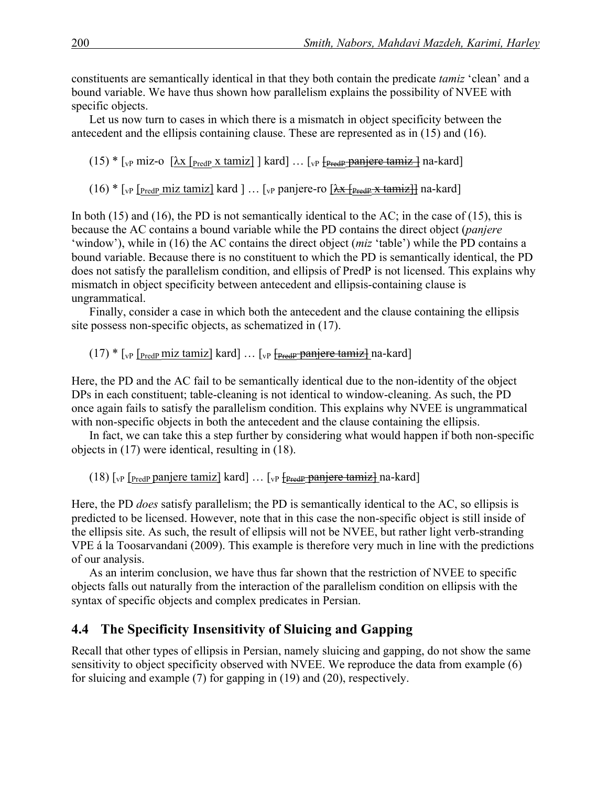constituents are semantically identical in that they both contain the predicate *tamiz* 'clean' and a bound variable. We have thus shown how parallelism explains the possibility of NVEE with specific objects.

Let us now turn to cases in which there is a mismatch in object specificity between the antecedent and the ellipsis containing clause. These are represented as in (15) and (16).

(15) \*  $\lbrack v_P \text{ miz-o } [\lambda x \lbrack_{\text{PredP}} x \text{ tamiz}] \rbrack$  kard]  $\ldots \lbrack v_P \lbrack_{\text{PredP}}$  panjere tamiz  $\rbrack$  na-kard]

 $(16)$  \*  $\lceil v \rceil$  [PredP miz tamiz] kard  $\lceil \dots \rceil$  [vp panjere-ro  $\lceil \frac{\lambda x}{\text{predP}} \cdot \frac{x}{\text{tamiz}} \rceil$  na-kard]

In both (15) and (16), the PD is not semantically identical to the AC; in the case of (15), this is because the AC contains a bound variable while the PD contains the direct object (*panjere*  'window'), while in (16) the AC contains the direct object (*miz* 'table') while the PD contains a bound variable. Because there is no constituent to which the PD is semantically identical, the PD does not satisfy the parallelism condition, and ellipsis of PredP is not licensed. This explains why mismatch in object specificity between antecedent and ellipsis-containing clause is ungrammatical.

Finally, consider a case in which both the antecedent and the clause containing the ellipsis site possess non-specific objects, as schematized in (17).

(17)  $*$  [ $_{VP}$  [ $_{PredP}$  miz tamiz] kard]  $\ldots$  [ $_{VP}$  [ $_{PredP}$  panjere tamiz] na-kard]

Here, the PD and the AC fail to be semantically identical due to the non-identity of the object DPs in each constituent; table-cleaning is not identical to window-cleaning. As such, the PD once again fails to satisfy the parallelism condition. This explains why NVEE is ungrammatical with non-specific objects in both the antecedent and the clause containing the ellipsis.

In fact, we can take this a step further by considering what would happen if both non-specific objects in (17) were identical, resulting in (18).

(18)  $\lceil v \rceil$  [PredP panjere tamiz] kard]  $\ldots$  [ $\lceil v \rceil$  [PredP panjere tamiz] na-kard]

Here, the PD *does* satisfy parallelism; the PD is semantically identical to the AC, so ellipsis is predicted to be licensed. However, note that in this case the non-specific object is still inside of the ellipsis site. As such, the result of ellipsis will not be NVEE, but rather light verb-stranding VPE á la Toosarvandani (2009). This example is therefore very much in line with the predictions of our analysis.

As an interim conclusion, we have thus far shown that the restriction of NVEE to specific objects falls out naturally from the interaction of the parallelism condition on ellipsis with the syntax of specific objects and complex predicates in Persian.

## **4.4xxThe Specificity Insensitivity of Sluicing and Gapping**

Recall that other types of ellipsis in Persian, namely sluicing and gapping, do not show the same sensitivity to object specificity observed with NVEE. We reproduce the data from example (6) for sluicing and example (7) for gapping in (19) and (20), respectively.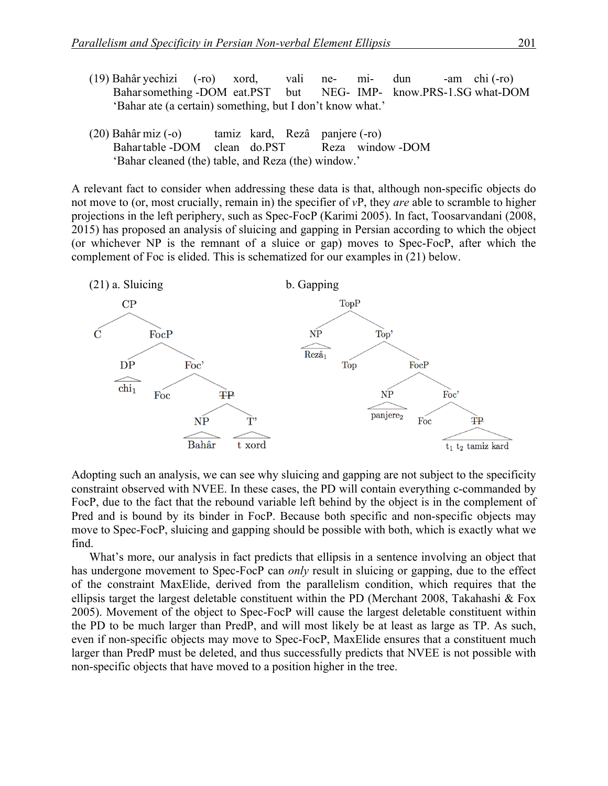- (19) Bahâr yechizi (-ro) xord, vali ne- mi- dun -am chi (-ro) Baharsomething -DOM eat.PST but NEG- IMP- know.PRS-1.SG what-DOM 'Bahar ate (a certain) something, but I don't know what.'
- (20) Bahâr miz (-o) tamiz kard, Rezâ panjere (-ro) Bahartable -DOM clean do.PST Reza window -DOM 'Bahar cleaned (the) table, and Reza (the) window.'

A relevant fact to consider when addressing these data is that, although non-specific objects do not move to (or, most crucially, remain in) the specifier of *v*P, they *are* able to scramble to higher projections in the left periphery, such as Spec-FocP (Karimi 2005). In fact, Toosarvandani (2008, 2015) has proposed an analysis of sluicing and gapping in Persian according to which the object (or whichever NP is the remnant of a sluice or gap) moves to Spec-FocP, after which the complement of Foc is elided. This is schematized for our examples in (21) below.



Adopting such an analysis, we can see why sluicing and gapping are not subject to the specificity constraint observed with NVEE. In these cases, the PD will contain everything c-commanded by FocP, due to the fact that the rebound variable left behind by the object is in the complement of Pred and is bound by its binder in FocP. Because both specific and non-specific objects may move to Spec-FocP, sluicing and gapping should be possible with both, which is exactly what we find.

What's more, our analysis in fact predicts that ellipsis in a sentence involving an object that has undergone movement to Spec-FocP can *only* result in sluicing or gapping, due to the effect of the constraint MaxElide, derived from the parallelism condition, which requires that the ellipsis target the largest deletable constituent within the PD (Merchant 2008, Takahashi  $\&$  Fox 2005). Movement of the object to Spec-FocP will cause the largest deletable constituent within the PD to be much larger than PredP, and will most likely be at least as large as TP. As such, even if non-specific objects may move to Spec-FocP, MaxElide ensures that a constituent much larger than PredP must be deleted, and thus successfully predicts that NVEE is not possible with non-specific objects that have moved to a position higher in the tree.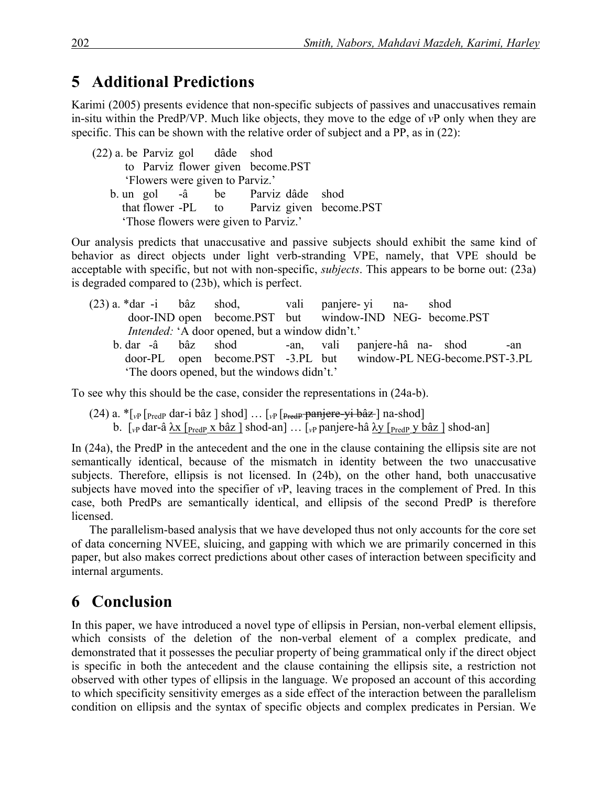## **5** Additional Predictions

Karimi (2005) presents evidence that non-specific subjects of passives and unaccusatives remain in-situ within the PredP/VP. Much like objects, they move to the edge of *v*P only when they are specific. This can be shown with the relative order of subject and a PP, as in (22):

- (22) a. be Parviz gol dâde shod to Parviz flower given become.PST 'Flowers were given to Parviz.'
	- b. un gol -â be Parviz dâde shod that flower -PL to Parviz given become.PST 'Those flowers were given to Parviz.'

Our analysis predicts that unaccusative and passive subjects should exhibit the same kind of behavior as direct objects under light verb-stranding VPE, namely, that VPE should be acceptable with specific, but not with non-specific, *subjects*. This appears to be borne out: (23a) is degraded compared to (23b), which is perfect.

(23) a. \*dar -i bâz shod, vali panjere- yi na- shod door-IND open become.PST but window-IND NEG- become.PST *Intended:* 'A door opened, but a window didn't.' b. dar -â bâz shod -an, vali panjere-hâ na- shod -an door-PL open become.PST -3.PL but window-PL NEG-become.PST-3.PL 'The doors opened, but the windows didn't.'

To see why this should be the case, consider the representations in (24a-b).

(24) a. \*[*v*P [PredP dar-i bâz ] shod] … [*v*P [PredP panjere-yi bâz ] na-shod] b. [*v*P dar-â λx [PredP x bâz ] shod-an] … [*v*P panjere-hâ λy [PredP y bâz ] shod-an]

In (24a), the PredP in the antecedent and the one in the clause containing the ellipsis site are not semantically identical, because of the mismatch in identity between the two unaccusative subjects. Therefore, ellipsis is not licensed. In (24b), on the other hand, both unaccusative subjects have moved into the specifier of *v*P, leaving traces in the complement of Pred. In this case, both PredPs are semantically identical, and ellipsis of the second PredP is therefore licensed.

The parallelism-based analysis that we have developed thus not only accounts for the core set of data concerning NVEE, sluicing, and gapping with which we are primarily concerned in this paper, but also makes correct predictions about other cases of interaction between specificity and internal arguments.

## **6** Conclusion

In this paper, we have introduced a novel type of ellipsis in Persian, non-verbal element ellipsis, which consists of the deletion of the non-verbal element of a complex predicate, and demonstrated that it possesses the peculiar property of being grammatical only if the direct object is specific in both the antecedent and the clause containing the ellipsis site, a restriction not observed with other types of ellipsis in the language. We proposed an account of this according to which specificity sensitivity emerges as a side effect of the interaction between the parallelism condition on ellipsis and the syntax of specific objects and complex predicates in Persian. We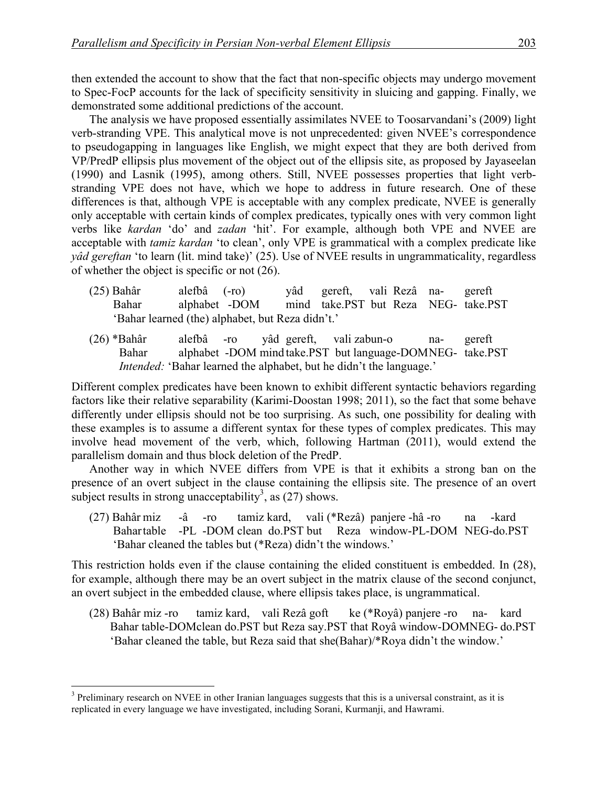then extended the account to show that the fact that non-specific objects may undergo movement to Spec-FocP accounts for the lack of specificity sensitivity in sluicing and gapping. Finally, we demonstrated some additional predictions of the account.

The analysis we have proposed essentially assimilates NVEE to Toosarvandani's (2009) light verb-stranding VPE. This analytical move is not unprecedented: given NVEE's correspondence to pseudogapping in languages like English, we might expect that they are both derived from VP/PredP ellipsis plus movement of the object out of the ellipsis site, as proposed by Jayaseelan (1990) and Lasnik (1995), among others. Still, NVEE possesses properties that light verbstranding VPE does not have, which we hope to address in future research. One of these differences is that, although VPE is acceptable with any complex predicate, NVEE is generally only acceptable with certain kinds of complex predicates, typically ones with very common light verbs like *kardan* 'do' and *zadan* 'hit'. For example, although both VPE and NVEE are acceptable with *tamiz kardan* 'to clean', only VPE is grammatical with a complex predicate like *yâd gereftan* 'to learn (lit. mind take)' (25). Use of NVEE results in ungrammaticality, regardless of whether the object is specific or not (26).

- (25) Bahâr alefbâ (-ro) yâd gereft, vali Rezâ na- gereft Bahar alphabet -DOM mind take.PST but Reza NEG- take.PST 'Bahar learned (the) alphabet, but Reza didn't.'
- (26) \*Bahâr alefbâ -ro yâd gereft, vali zabun-o na- gereft Bahar alphabet -DOM mind take.PST but language-DOMNEG- take.PST *Intended:* 'Bahar learned the alphabet, but he didn't the language.'

Different complex predicates have been known to exhibit different syntactic behaviors regarding factors like their relative separability (Karimi-Doostan 1998; 2011), so the fact that some behave differently under ellipsis should not be too surprising. As such, one possibility for dealing with these examples is to assume a different syntax for these types of complex predicates. This may involve head movement of the verb, which, following Hartman (2011), would extend the parallelism domain and thus block deletion of the PredP.

Another way in which NVEE differs from VPE is that it exhibits a strong ban on the presence of an overt subject in the clause containing the ellipsis site. The presence of an overt subject results in strong unacceptability<sup>3</sup>, as  $(27)$  shows.

(27) Bahâr miz -â -ro tamiz kard, vali (\*Rezâ) panjere -hâ -ro na -kard Bahartable -PL -DOM clean do.PST but Reza window-PL-DOM NEG-do.PST 'Bahar cleaned the tables but (\*Reza) didn't the windows.'

This restriction holds even if the clause containing the elided constituent is embedded. In (28), for example, although there may be an overt subject in the matrix clause of the second conjunct, an overt subject in the embedded clause, where ellipsis takes place, is ungrammatical.

(28) Bahâr miz -ro tamiz kard, vali Rezâ goft ke (\*Royâ) panjere -ro na- kard Bahar table-DOMclean do.PST but Reza say.PST that Royâ window-DOMNEG- do.PST 'Bahar cleaned the table, but Reza said that she(Bahar)/\*Roya didn't the window.'

<sup>&</sup>lt;sup>3</sup> Preliminary research on NVEE in other Iranian languages suggests that this is a universal constraint, as it is replicated in every language we have investigated, including Sorani, Kurmanji, and Hawrami.